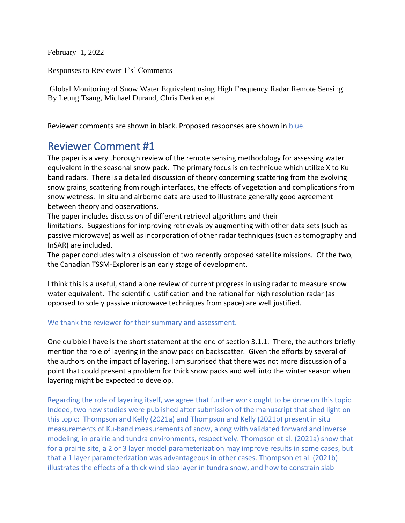February 1, 2022

Responses to Reviewer 1's' Comments

Global Monitoring of Snow Water Equivalent using High Frequency Radar Remote Sensing By Leung Tsang, Michael Durand, Chris Derken etal

Reviewer comments are shown in black. Proposed responses are shown in blue.

## Reviewer Comment #1

The paper is a very thorough review of the remote sensing methodology for assessing water equivalent in the seasonal snow pack. The primary focus is on technique which utilize X to Ku band radars. There is a detailed discussion of theory concerning scattering from the evolving snow grains, scattering from rough interfaces, the effects of vegetation and complications from snow wetness. In situ and airborne data are used to illustrate generally good agreement between theory and observations.

The paper includes discussion of different retrieval algorithms and their limitations. Suggestions for improving retrievals by augmenting with other data sets (such as passive microwave) as well as incorporation of other radar techniques (such as tomography and InSAR) are included.

The paper concludes with a discussion of two recently proposed satellite missions. Of the two, the Canadian TSSM-Explorer is an early stage of development.

I think this is a useful, stand alone review of current progress in using radar to measure snow water equivalent. The scientific justification and the rational for high resolution radar (as opposed to solely passive microwave techniques from space) are well justified.

## We thank the reviewer for their summary and assessment.

One quibble I have is the short statement at the end of section 3.1.1. There, the authors briefly mention the role of layering in the snow pack on backscatter. Given the efforts by several of the authors on the impact of layering, I am surprised that there was not more discussion of a point that could present a problem for thick snow packs and well into the winter season when layering might be expected to develop.

Regarding the role of layering itself, we agree that further work ought to be done on this topic. Indeed, two new studies were published after submission of the manuscript that shed light on this topic: Thompson and Kelly (2021a) and Thompson and Kelly (2021b) present in situ measurements of Ku-band measurements of snow, along with validated forward and inverse modeling, in prairie and tundra environments, respectively. Thompson et al. (2021a) show that for a prairie site, a 2 or 3 layer model parameterization may improve results in some cases, but that a 1 layer parameterization was advantageous in other cases. Thompson et al. (2021b) illustrates the effects of a thick wind slab layer in tundra snow, and how to constrain slab